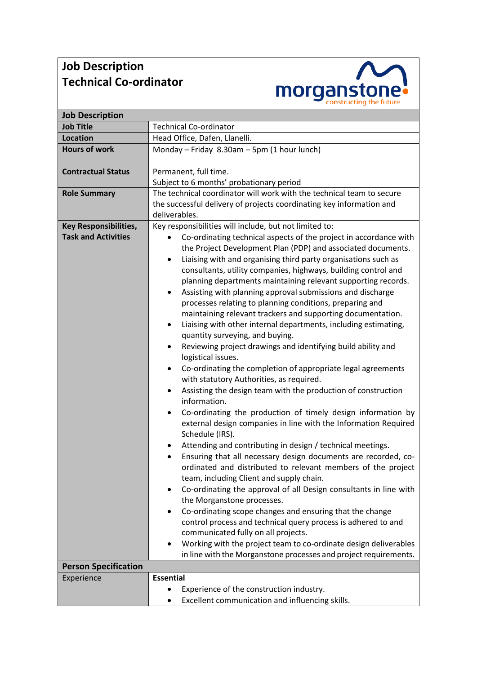## **Job Description Technical Co-ordinator**



| <b>Job Description</b>                                     |                                                                                                                                                                                                                                                                                                                                                                                                                                                                                                                                                                                                                                                                                                                                                                                                                                                                                                                                                                                                                                                                                                                                                                                                                                                                                                                                                                                                                                                                                                                                                                                                                                                                                                                                                                    |
|------------------------------------------------------------|--------------------------------------------------------------------------------------------------------------------------------------------------------------------------------------------------------------------------------------------------------------------------------------------------------------------------------------------------------------------------------------------------------------------------------------------------------------------------------------------------------------------------------------------------------------------------------------------------------------------------------------------------------------------------------------------------------------------------------------------------------------------------------------------------------------------------------------------------------------------------------------------------------------------------------------------------------------------------------------------------------------------------------------------------------------------------------------------------------------------------------------------------------------------------------------------------------------------------------------------------------------------------------------------------------------------------------------------------------------------------------------------------------------------------------------------------------------------------------------------------------------------------------------------------------------------------------------------------------------------------------------------------------------------------------------------------------------------------------------------------------------------|
| <b>Job Title</b>                                           | <b>Technical Co-ordinator</b>                                                                                                                                                                                                                                                                                                                                                                                                                                                                                                                                                                                                                                                                                                                                                                                                                                                                                                                                                                                                                                                                                                                                                                                                                                                                                                                                                                                                                                                                                                                                                                                                                                                                                                                                      |
| <b>Location</b>                                            | Head Office, Dafen, Llanelli.                                                                                                                                                                                                                                                                                                                                                                                                                                                                                                                                                                                                                                                                                                                                                                                                                                                                                                                                                                                                                                                                                                                                                                                                                                                                                                                                                                                                                                                                                                                                                                                                                                                                                                                                      |
| <b>Hours of work</b>                                       | Monday - Friday 8.30am - 5pm (1 hour lunch)                                                                                                                                                                                                                                                                                                                                                                                                                                                                                                                                                                                                                                                                                                                                                                                                                                                                                                                                                                                                                                                                                                                                                                                                                                                                                                                                                                                                                                                                                                                                                                                                                                                                                                                        |
| <b>Contractual Status</b>                                  | Permanent, full time.                                                                                                                                                                                                                                                                                                                                                                                                                                                                                                                                                                                                                                                                                                                                                                                                                                                                                                                                                                                                                                                                                                                                                                                                                                                                                                                                                                                                                                                                                                                                                                                                                                                                                                                                              |
|                                                            | Subject to 6 months' probationary period                                                                                                                                                                                                                                                                                                                                                                                                                                                                                                                                                                                                                                                                                                                                                                                                                                                                                                                                                                                                                                                                                                                                                                                                                                                                                                                                                                                                                                                                                                                                                                                                                                                                                                                           |
| <b>Role Summary</b>                                        | The technical coordinator will work with the technical team to secure                                                                                                                                                                                                                                                                                                                                                                                                                                                                                                                                                                                                                                                                                                                                                                                                                                                                                                                                                                                                                                                                                                                                                                                                                                                                                                                                                                                                                                                                                                                                                                                                                                                                                              |
|                                                            | the successful delivery of projects coordinating key information and                                                                                                                                                                                                                                                                                                                                                                                                                                                                                                                                                                                                                                                                                                                                                                                                                                                                                                                                                                                                                                                                                                                                                                                                                                                                                                                                                                                                                                                                                                                                                                                                                                                                                               |
|                                                            | deliverables.                                                                                                                                                                                                                                                                                                                                                                                                                                                                                                                                                                                                                                                                                                                                                                                                                                                                                                                                                                                                                                                                                                                                                                                                                                                                                                                                                                                                                                                                                                                                                                                                                                                                                                                                                      |
| <b>Key Responsibilities,</b><br><b>Task and Activities</b> | Key responsibilities will include, but not limited to:<br>Co-ordinating technical aspects of the project in accordance with<br>$\bullet$<br>the Project Development Plan (PDP) and associated documents.<br>Liaising with and organising third party organisations such as<br>$\bullet$<br>consultants, utility companies, highways, building control and<br>planning departments maintaining relevant supporting records.<br>Assisting with planning approval submissions and discharge<br>$\bullet$<br>processes relating to planning conditions, preparing and<br>maintaining relevant trackers and supporting documentation.<br>Liaising with other internal departments, including estimating,<br>$\bullet$<br>quantity surveying, and buying.<br>Reviewing project drawings and identifying build ability and<br>٠<br>logistical issues.<br>Co-ordinating the completion of appropriate legal agreements<br>٠<br>with statutory Authorities, as required.<br>Assisting the design team with the production of construction<br>$\bullet$<br>information.<br>Co-ordinating the production of timely design information by<br>٠<br>external design companies in line with the Information Required<br>Schedule (IRS).<br>Attending and contributing in design / technical meetings.<br>٠<br>Ensuring that all necessary design documents are recorded, co-<br>$\bullet$<br>ordinated and distributed to relevant members of the project<br>team, including Client and supply chain.<br>Co-ordinating the approval of all Design consultants in line with<br>the Morganstone processes.<br>Co-ordinating scope changes and ensuring that the change<br>٠<br>control process and technical query process is adhered to and<br>communicated fully on all projects. |
|                                                            | Working with the project team to co-ordinate design deliverables                                                                                                                                                                                                                                                                                                                                                                                                                                                                                                                                                                                                                                                                                                                                                                                                                                                                                                                                                                                                                                                                                                                                                                                                                                                                                                                                                                                                                                                                                                                                                                                                                                                                                                   |
|                                                            | in line with the Morganstone processes and project requirements.                                                                                                                                                                                                                                                                                                                                                                                                                                                                                                                                                                                                                                                                                                                                                                                                                                                                                                                                                                                                                                                                                                                                                                                                                                                                                                                                                                                                                                                                                                                                                                                                                                                                                                   |
| <b>Person Specification</b>                                |                                                                                                                                                                                                                                                                                                                                                                                                                                                                                                                                                                                                                                                                                                                                                                                                                                                                                                                                                                                                                                                                                                                                                                                                                                                                                                                                                                                                                                                                                                                                                                                                                                                                                                                                                                    |
| Experience                                                 | <b>Essential</b>                                                                                                                                                                                                                                                                                                                                                                                                                                                                                                                                                                                                                                                                                                                                                                                                                                                                                                                                                                                                                                                                                                                                                                                                                                                                                                                                                                                                                                                                                                                                                                                                                                                                                                                                                   |
|                                                            | Experience of the construction industry.                                                                                                                                                                                                                                                                                                                                                                                                                                                                                                                                                                                                                                                                                                                                                                                                                                                                                                                                                                                                                                                                                                                                                                                                                                                                                                                                                                                                                                                                                                                                                                                                                                                                                                                           |
|                                                            | Excellent communication and influencing skills.                                                                                                                                                                                                                                                                                                                                                                                                                                                                                                                                                                                                                                                                                                                                                                                                                                                                                                                                                                                                                                                                                                                                                                                                                                                                                                                                                                                                                                                                                                                                                                                                                                                                                                                    |